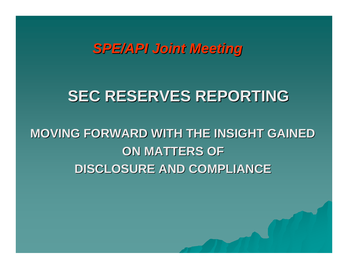*SPE/API Joint Meeting SPE/API Joint Meeting*

# **SEC RESERVES REPORTING SEC RESERVES REPORTING**

# **MOVING FORWARD WITH THE INSIGHT GAINED MOVING FORWARD WITH THE INSIGHT GAINEDON MATTERS OF ON MATTERS OFDISCLOSURE AND COMPLIANCE DISCLOSURE AND COMPLIANCE**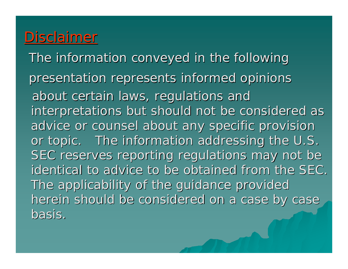## Disclaimer

The information conveyed in the following presentation represents informed opinions about certain laws, regulations and interpretations but should not be considered as advice or counsel about any specific provision or topic. The information addressing the U.S. SEC reserves reporting regulations may not be identical to advice to be obtained from the SEC. The applicability of the guidance provided herein should be considered on a case by case basis.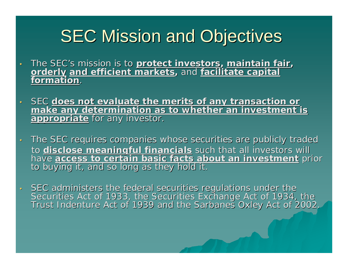# **SEC Mission and Objectives**

- •The SEC's mission is to protect investors, maintain fair,<br>orderly and efficient markets, and facilitate capital **formation**.
- •SEC does not evaluate the merits of any transaction or<br>make any determination as to whether an investment is<br>appropriate for any investor.
- •The SEC requires companies whose securities are publicly traded to <u>disclose meaningful financials</u> such that all investors will<br>have access to certain basic facts about an investment pri have <u>access to certain basic facts about an investment</u> prior<br>to buying it, and so long as they hold it.
- •SEC administers the federal securities regulations under the Securities Act of 1933, the Securities Exchange Act of 1934, the<br>Trust Indenture Act of 1939 and the Sarbanes Oxley Act of 2002.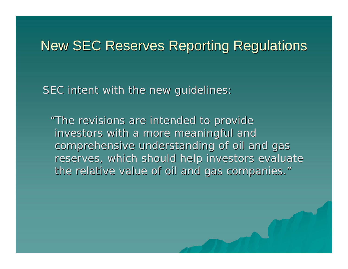## New SEC Reserves Reporting Regulations

SEC intent with the new guidelines:

"The revisions are intended to provide investors with a more meaningful and comprehensive understanding of oil and gas reserves, which should help investors evaluate the relative value of oil and gas companies."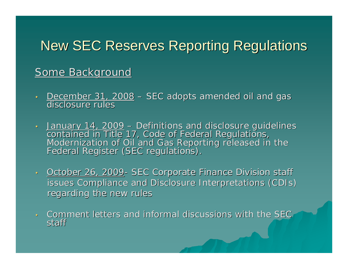## New SEC Reserves Reporting Regulations

### Some Background

- •<u>- December 31, 2008</u> – <u>December 31, 2008</u> – SEC adopts amended oil and gas<br>disclosure rules disclosure rules
- <u>- January 14, 2009</u> –<u>January 14, 2009</u> – Definitions and disclosure guidelines<br>contained in Title 17, Code of Federal Regulations,<br>Modernization of Oil and Gas Reporting released in the<br>Federal Register (SEC regulations).
- October 26, 2009- SEC Corporate Finance Division staff issues Compliance and Disclosure Interpretations (CDIs) regarding the new rules
- $\cdot$  Comment letters and informal discussions with the SEC staff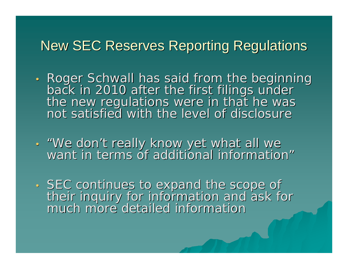## **New SEC Reserves Reporting Regulations**

- Roger Schwall has said from the beginning back in 2010 after the first filings under<br>the new regulations were in that he was not satisfied with the level of disclosure
- "We don "We don't really know yet what all we<br>want in terms of additional information"
- •SEC continues to expand the scope of<br>their inquiry for information and ask for<br>much more detailed information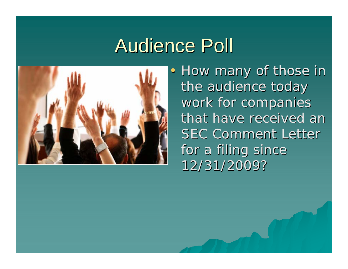# Audience Poll



• How many of those in the audience today work for companies that have received an **SEC Comment Letter** for a filing since 12/31/2009? 12/31/2009?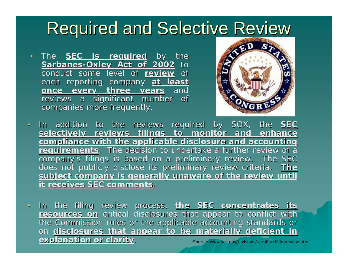# **Required and Selective Review**

•The **SEC is required** by the **Sarbanes Sarbanes -Oxley Act of 2002 Oxley Act of 2002** to conduct some level of <u>review</u> of each reporting company at least **once every three years once every three years** and reviews a significant number of companies more frequently.



- •In addition to the reviews required by SOX, the **SEC** selectively reviews filings to monitor and enhance **compliance with the applicable disclosure and accounting requirements**. The decision to undertake a further review of a company's filings is based on a preliminary review. The SEC does not publicly disclose its preliminary review criteria. The subject company is generally unaware of the review until **it receives SEC comments.**
- Source: www.sec.gov/divisions/corpfin/cffilingreview.htm •In the filing review process, the SEC concentrates its  $\epsilon$  resources on critical disclosures that appear to conflict with  $\epsilon$ the Commission rules or the applicable accounting standards or on **disclosures that appear to be materially deficient in explanation or clarity explanation or clarity**.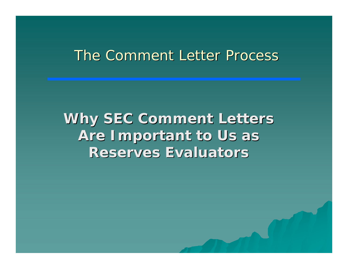## The Comment Letter Process

**Why SEC Comment Letters Are Important to Us as Reserves Evaluators Reserves Evaluators**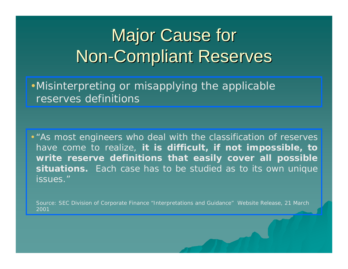### **Major Cause for** Non -Compliant Reserves

•Misinterpreting or misapplying the applicable reserves definitions

• "*As most engineers who deal with the classification of reserves have come to realize, it is difficult, if not impossible, to write reserve definitions that easily cover all possible situations. Each case has to be studied as to its own unique issues."*

Source: SEC Division of Corporate Finance "Interpretations and Guidance" Website Release, 21 March 2001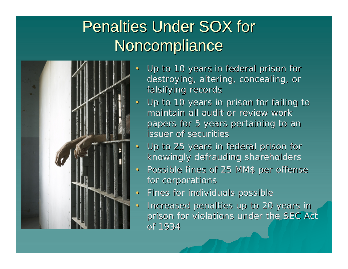# **Penalties Under SOX for Noncompliance**



- •Up to 10 years in federal prison for destroying, altering, concealing, or falsifying records
- Up to 10 years in prison for failing to maintain all audit or review work papers for 5 years pertaining to an issuer of securities
- $\bullet$ Up to 25 years in federal prison for knowingly defrauding shareholders
- •Possible fines of 25 MM\$ per offense for corporations
- $\bullet$ Fines for individuals possible Fines for individuals possible
- Increased penalties up to 20 years in prison for violations under the SEC Act of 1934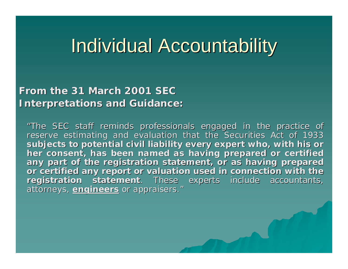# **Individual Accountability**

### From the 31 March 2001 SEC **Interpretations and Guidance: Interpretations and Guidance:**

*"The SEC staff reminds professional The SEC staff reminds professionals engaged in the practice of s engaged in the practice of reserve estimating and evaluation that the Securities Act of 193 reserve estimating and evaluation that the Securities Act of 1933 subjects to potential civil liabilit subjects to potential civil liability every expert who, with his y every expert who, with his or her consent, has been named her consent, has been named as having prepared or certified as having prepared or certified*  any part of the registration statement, or as having prepared *or certified any report or valuat or certified any report or valuation used in connection with the ion used in connection with the registration statement registration statement. These experts include accountants, . These experts include accountants, attorneys, attorneys, engineers engineers or appraisers. or appraisers. "*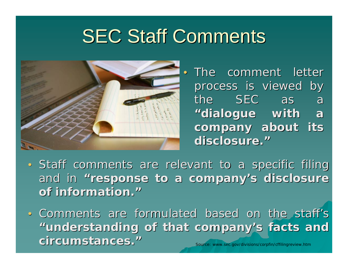# **SEC Staff Comments**



• The comment letter process is viewed by the SEC as a **"dialogue with a dialogue with a**  company about its **disclosure. disclosure."**

- Staff comments are relevant to a specific filing and in "response to a company's disclosure **of information. of information."**
- ce: www.sec.gov/divisions/corpfin/cffilingreview.htm • Comments are formulated based on the staff's **"understanding of that company understanding of that company 's facts and s facts and circumstances. circumstances."**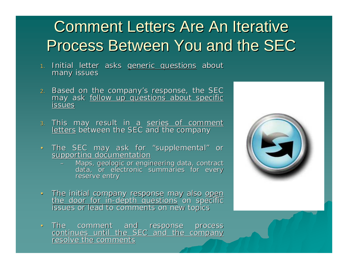# Comment Letters Are An Iterative Process Between You and the SEC

- 1. Initial letter asks <u>generic questions</u> about<br>many issues
- <sup>2</sup>. Based on the company's response, the SEC<br>may ask <u>follow up questions about specific</u><br>issues **issues**
- <sub>3.</sub> This may result in a <u>series of comment</u><br><u>letters</u> between the SEC and the company
- The SEC may ask for "supplemental" or supporting documentation
	- –Maps, geologic or engineering data, contract<br>Maps, geologic or engineering data, contract<br>data, or electronic summaries for every reserve entry
- The initial company response may also <u>open</u><br><u>the door for in-depth questions</u> on specific t<u>he door for in-depth questions</u> on specific<br>issues or lead to comments on new topics
- The comment and The comment and response process<br>continues until the SEC and the company resolve the comments

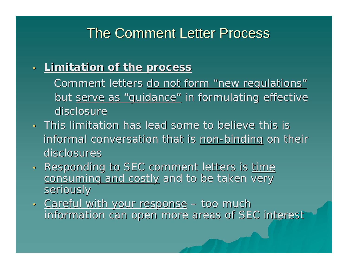## The Comment Letter Process

#### •**Limitation of the process Limitation of the process**

- Comment letters <u>do not form "new regulations"</u> but <u>serve as "guidance"</u> in formulating effective disclosure
- This limitation has lead some to believe this is informal conversation that is <u>non-binding</u> on their disclosures
- •Responding to SEC comment letters is time consuming and costly and to be taken very seriously
- •· Careful with your response – too much information can open more areas of SEC interest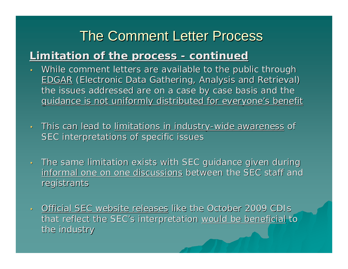## The Comment Letter Process

#### **Limitation of the process Limitation of the process - continued continued**

- •. While comment letters are available to the public through <u>EDGAR</u> (Electronic Data Gathering, Analysis and Retrieval) the issues addressed are on a case by case basis and the guidance is not uniformly distributed for everyone's benefit
- •This can lead to limitations in industry-wide awareness of SEC interpretations of specific issues
- •The same limitation exists with SEC guidance given during informal one on one discussions between the SEC staff and registrants
- •Official SEC website releases like the October 2009 CDIs that reflect the SEC's interpretation would be beneficial to the industry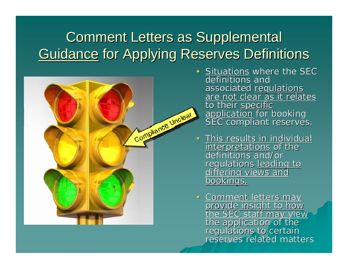# **Comment Letters as Supplemental** Guidance for Applying Reserves Definitions



- • $\cdot$  Situations where the SEC definitions and associated <u>regulations</u><br>are not clear as it relates to their specific<br>application for booking<br>SEC compliant reserves.
- **· This results in individual** interpretations of the definitions and/or regulations <u>leading to differing views and differing views and bookings.</u>
- •Comment letters may<br>provide insight to how<br>the SEC staff may view<br>the application of the<br>regulations to certain<br>reserves related matters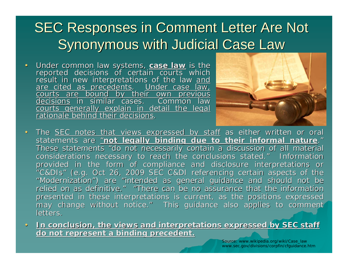# **SEC Responses in Comment Letter Are Not** Synonymous with Judicial Case Law

•Under common law systems, **case law** is the<br>reported decisions of certain courts which<br>result in new interpretations of the law and<br>are cited as precedents. Under case law,<br>courts are bound by their own previous<br>decisions decisionsin similar cases. courts generally explain in detail the legal rationale behind their decisions.



- •The SEC notes that views expressed by staff as either written or oral statements are <u>"**not legally binding due to their informal nature**."</u> These statements "do not necessarily contain a discussion of all material considerations necessary to reach the conclusions stated." **Information** provided in the form of compliance and disclosure interpretations or "C&DIs" (e.g. Oct 26, 2009 SEC C&DI referencing certain aspects of the "Modernization") are "intended as general guidance and should not be relied on as definitive. " "There can be no assurance that the information presented in these interpretations is current, as the positions expressed may change without notice." This guidance also applies to comment letters.
- •In conclusion, the views and interpretations expressed by SEC staff **do not represent a binding precedent. do not represent a binding precedent.**

Source: www.wikipedia.org/wiki/Case\_law www.sec.gov/divisions/corpfin/cfguidance.htm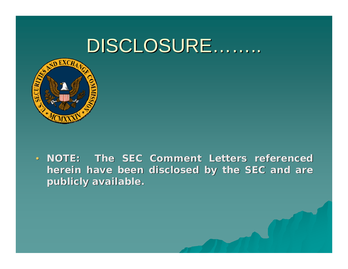# DISCLOSURE…….



• *NOTE: The SEC Comment Letters referenced NOTE: The SEC Comment Letters referenced herein have been disclo herein have been disclosed by the SEC and are sed by the SEC and are publicly available. publicly available.*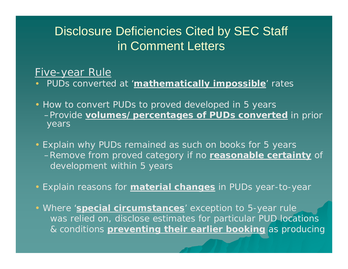### Five-year Rule

- $\bullet$ PUDs converted at '**mathematically impossible**' rates
- How to convert PUDs to proved developed in 5 years –Provide **volumes/percentages of PUDs converted** in prior years
- Explain why PUDs remained as such on books for 5 years –Remove from proved category if no **reasonable certainty** of development within 5 years
- Explain reasons for **material changes** in PUDs year-to-year
- Where '**special circumstances**' exception to 5-year rule was relied on, disclose estimates for particular PUD locations & conditions **preventing their earlier booking** as producing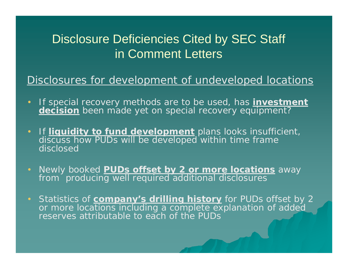### Disclosures for development of undeveloped locations

- If special recovery methods are to be used, has **investment decision** been made yet on special recovery equipment?
- •**If liquidity to fund development** plans looks insufficient, discuss how PUDs will be developed within time frame disclosed
- $\blacksquare$  Newly booked **PUDs offset by 2 or more locations** away from producing well required additional disclosures
- • Statistics of **company's drilling history** for PUDs offset by 2 or more locations including a complete explanation of added reserves attributable to each of the PUDs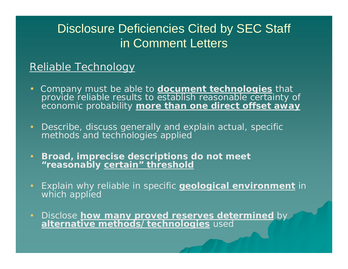### Reliable Technology

- Company must be able to **document technologies** that provide reliable results to establish reasonable certainty of economic probability **more than one direct offset away**
- Describe, discuss generally and explain actual, specific methods and technologies applied
- **Broad, imprecise descriptions do not meet "reasonably certain" threshold**
- • Explain why reliable in specific **geological environment** in which applied
- Disclose **how many proved reserves determined** by **alternative methods/technologies** used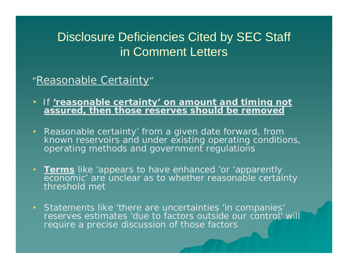### <u>"Reasonable Certainty</u>"

- If **'reasonable certainty' on amount and timing not assured, then those reserves should be removed**
- Reasonable certainty' from a given date forward, from known reservoirs and under existing operating conditions, operating methods and government regulations
- **Terms** like 'appears to have enhanced 'or 'apparently economic' are unclear as to whether reasonable certainty threshold met
- Statements like 'there are uncertainties 'in companies' reserves estimates 'due to factors outside our control' will require a precise discussion of those factors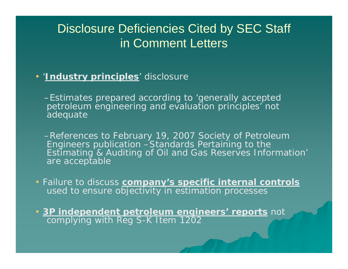### • '**Industry principles**' disclosure

–Estimates prepared according to 'generally accepted petroleum engineering and evaluation principles' not adequate

–References to February 19, 2007 Society of Petroleum Engineers publication –*Standards Pertaining to the Estimating & Auditing of Oil and Gas Reserves Information*' are acceptable

• Failure to discuss **company's specific internal controls** used to ensure objectivity in estimation processes

• **3P independent petroleum engineers' reports** not complying with Reg S-K Item 1202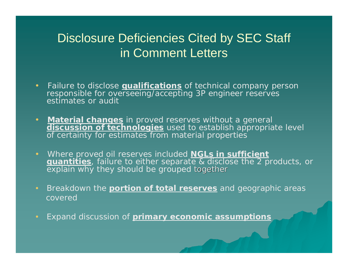- • Failure to disclose **qualifications** of technical company person responsible for overseeing/accepting 3P engineer reserves estimates or audit
- **Material changes** in proved reserves without a general **discussion of technologies** used to establish appropriate level of certainty for estimates from material properties
- Where proved oil reserves included **NGLs in sufficient quantities**, failure to either separate & disclose the 2 products, or explain why they should be grouped together
- Breakdown the **portion of total reserves** and geographic areas covered
- •Expand discussion of **primary economic assumptions**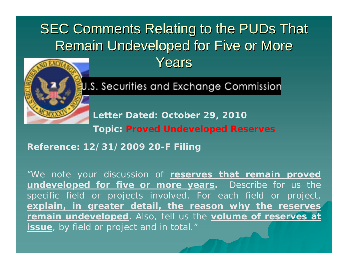# **SEC Comments Relating to the PUDs That** Remain Undeveloped for Five or More Years



U.S. Securities and Exchange Commission

**Letter Dated: October 29, 2010**

**Topic: Proved Undeveloped Reserves**

**Reference: 12/31/2009 20-F Filing**

"We note your discussion of **reserves that remain proved undeveloped for five or more years.** Describe for us the specific field or projects involved. For each field or project, **explain, in greater detail, the reason why the reserves remain undeveloped.** Also, tell us the **volume of reserves at issue**, by field or project and in total."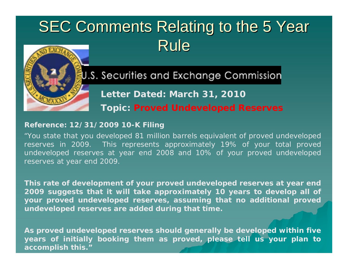# SEC Comments Relating to the 5 Year Rule



### U.S. Securities and Exchange Commission

**Letter Dated: March 31, 2010**

**Topic: Proved Undeveloped Reserves**

#### **Reference: 12/31/2009 10-K Filing**

"You state that you developed 81 million barrels equivalent of proved undeveloped reserves in 2009. This represents approximately 19% of your total proved undeveloped reserves at year end 2008 and 10% of your proved undeveloped reserves at year end 2009.

**This rate of development of your proved undeveloped reserves at year end 2009 suggests that it will take approximately 10 years to develop all of your proved undeveloped reserves, assuming that no additional proved undeveloped reserves are added during that time.**

**As proved undeveloped reserves should generally be developed within five years of initially booking them as proved, please tell us your plan to accomplish this."**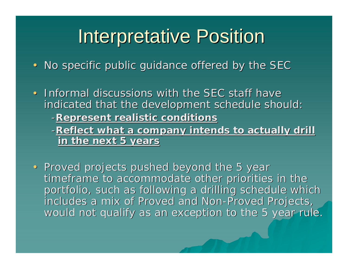# **Interpretative Position**

- No specific public guidance offered by the SEC
- Informal discussions with the SEC staff have indicated that the development schedule should:
	- -**Represent realistic conditions Represent realistic conditions**
	- -Reflect what a company intends to actually drill **in the next 5 years in the next 5 years**
- Proved projects pushed beyond the 5 year timeframe to accommodate other priorities in the portfolio, such as following a drilling schedule which includes a mix of Proved and Non-Proved Projects, would not qualify as an exception to the 5 year rule.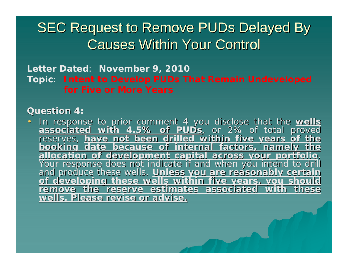## **SEC Request to Remove PUDs Delayed By Causes Within Your Control**

**Letter Dated**: **November 9, 2010 Topic**: **Intent to Develop PUDs That Remain Undeveloped for Five or More Years**

#### **Question 4: Question 4:**

 $\bullet$ In response to prior comment 4 you disclose that the wells associated with 4.5% of PUD<sub>S</sub>, or 2% of total proved<br>reserves, have not been drilled within five years of the **booking date because of internal factors, namely the**<br>**allocation of development capital across your portfolio**.<br>Your response does not indicate if and when you intend to drill<br>and produce these wells. <u>Unless you are rea</u> **wells. Please revise or advise. wells. Please revise or advise.**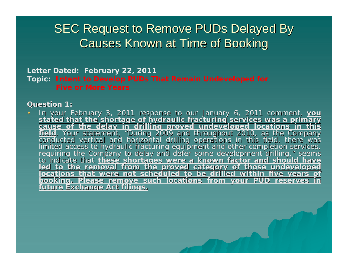### **SEC Request to Remove PUDs Delayed By Causes Known at Time of Booking**

### **Letter Dated: February 22, 2011 Topic: Intent to Develop PUDs That Remain Undeveloped for**

#### **Question 1: Question 1:**

•In your February 3, 2011 response to our January 6, 2011 comment, you stated that the shortage of hydraulic fracturing services was a primary cause of the delay in drilling proved undeveloped locations in this field. Your <u>field</u>. Your statement, "During 2009 and throughout 2010, as the Company<br>conducted vertical and horizontal drilling operations in this field, there was<br>limited access to hydraulic fracturing equipment and other completion " seems to indicate that <u>these shortages were a known factor and should have</u><br>led to the removal from the proved category of those undeveloped<br>locations that were not scheduled to be drilled within five years of<br>booking. Please r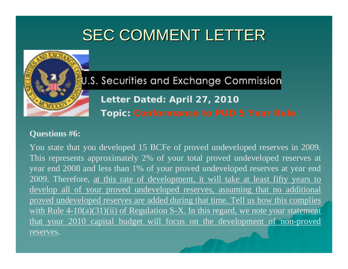

U.S. Securities and Exchange Commission **Letter Dated: April 27, 2010 Topic: Conformance to PUD 5 Year Rule**

#### **Questions #6:**

You state that you developed 15 BCFe of proved undeveloped reserves in 2009. This represents approximately 2% of your total proved undeveloped reserves at year end 2008 and less than 1% of your proved undeveloped reserves at year end 2009. Therefore, at this rate of development, it will take at least fifty years to develop all of your proved undeveloped reserves, assuming that no additional proved undeveloped reserves are added during that time. Tell us how this complies with Rule  $4-10(a)(31)(ii)$  of Regulation S-X. In this regard, we note your statement that your 2010 capital budget will focus on the development of non-proved reserves.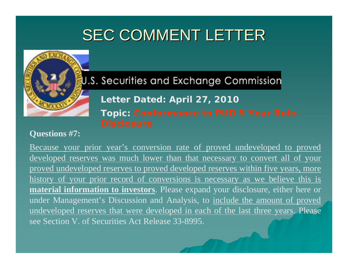

U.S. Securities and Exchange Commission

**Letter Dated: April 27, 2010 Topic: Conformance to PUD 5 Year Rule-**

#### **Questions #7:**

Because your prior year's conversion rate of proved undeveloped to proved developed reserves was much lower than that necessary to convert all of your proved undeveloped reserves to proved developed reserves within five years, more history of your prior record of conversions is necessary as we believe this is **material information to investors**. Please expand your disclosure, either here or under Management's Discussion and Analysis, to include the amount of proved undeveloped reserves that were developed in each of the last three years. Please see Section V. of Securities Act Release 33-8995.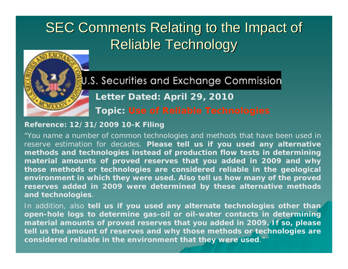# SEC Comments Relating to the Impact of Reliable Technology



U.S. Securities and Exchange Commission **Letter Dated: April 29, 2010 Topic: Use of Reliable Technologies**

#### **Reference: 12/31/2009 10-K Filing**

"You name a number of common technologies and methods that have been used in reserve estimation for decades. **Please tell us if you used any alternative methods and technologies instead of production flow tests in determining material amounts of proved reserves that you added in 2009 and why those methods or technologies are considered reliable in the geological environment in which they were used. Also tell us how many of the proved reserves added in 2009 were determined by these alternative methods and technologies**.

In addition, also **tell us if you used any alternate technologies other than open-hole logs to determine gas-oil or oil-water contacts in determining material amounts of proved reserves that you added in 2009. If so, please tell us the amount of reserves and why those methods or technologies are considered reliable in the environment that they were used**."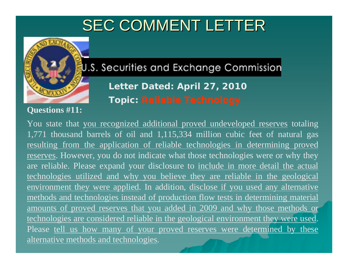

U.S. Securities and Exchange Commission

**Letter Dated: April 27, 2010 Topic: Reliable Technology**

### **Questions #11:**

You state that you recognized additional proved undeveloped reserves totaling 1,771 thousand barrels of oil and 1,115,334 million cubic feet of natural gas resulting from the application of reliable technologies in determining proved reserves. However, you do not indicate what those technologies were or why they are reliable. Please expand your disclosure to include in more detail the actual technologies utilized and why you believe they are reliable in the geological environment they were applied. In addition, disclose if you used any alternative methods and technologies instead of production flow tests in determining material amounts of proved reserves that you added in 2009 and why those methods or technologies are considered reliable in the geological environment they were used. Please tell us how many of your proved reserves were determined by these alternative methods and technologies.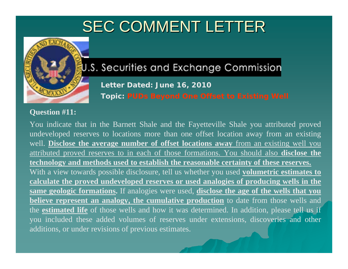

### U.S. Securities and Exchange Commission

**Letter Dated: June 16, 2010 Topic: PUDs Beyond One Offset to Existing Well**

#### **Question #11:**

You indicate that in the Barnett Shale and the Fayetteville Shale you attributed proved undeveloped reserves to locations more than one offset location away from an existing well. **Disclose the average number of offset locations away** from an existing well you attributed proved reserves to in each of those formations. You should also **disclose the technology and methods used to establish the reasonable certainty of these reserves.** With a view towards possible disclosure, tell us whether you used **volumetric estimates to calculate the proved undeveloped reserves or used analogies of producing wells in the same geologic formations.** If analogies were used, **disclose the age of the wells that you believe represent an analogy, the cumulative production** to date from those wells and the **estimated life** of those wells and how it was determined. In addition, please tell us if you included these added volumes of reserves under extensions, discoveries and other additions, or under revisions of previous estimates.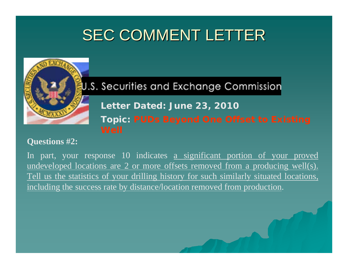

U.S. Securities and Exchange Commission

**Letter Dated: June 23, 2010**

**Topic: PUDs Beyond One Offset to Existing** 

#### **Questions #2:**

In part, your response 10 indicates a significant portion of your proved undeveloped locations are 2 or more offsets removed from a producing well(s). Tell us the statistics of your drilling history for such similarly situated locations, including the success rate by distance/location removed from production.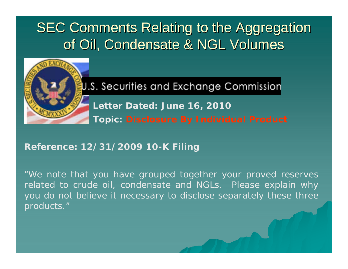## SEC Comments Relating to the Aggregation of Oil, Condensate & NGL Volumes



U.S. Securities and Exchange Commission

**Letter Dated: June 16, 2010 Topic: Disclosure By Individual Product**

### **Reference: 12/31/2009 10-K Filing**

"We note that you have grouped together your proved reserves related to crude oil, condensate and NGLs. Please explain why you do not believe it necessary to disclose separately these three products."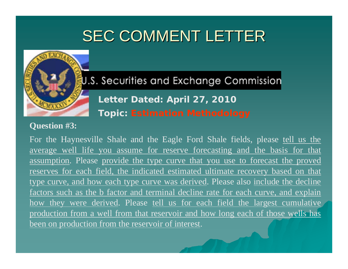

U.S. Securities and Exchange Commission **Letter Dated: April 27, 2010 Topic: Estimation Methodology**

#### **Question #3:**

For the Haynesville Shale and the Eagle Ford Shale fields, please tell us the average well life you assume for reserve forecasting and the basis for that assumption. Please provide the type curve that you use to forecast the proved reserves for each field, the indicated estimated ultimate recovery based on that type curve, and how each type curve was derived. Please also include the decline factors such as the b factor and terminal decline rate for each curve, and explain how they were derived. Please tell us for each field the largest cumulative production from a well from that reservoir and how long each of those wells has been on production from the reservoir of interest.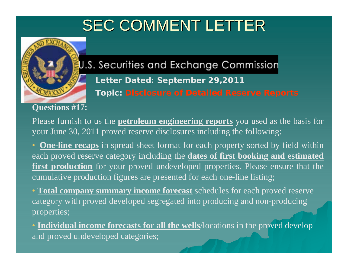

### U.S. Securities and Exchange Commission

**Letter Dated: September 29,2011 Topic: Disclosure of Detailed Reserve Reports**

### **Questions #17:**

Please furnish to us the **petroleum engineering reports** you used as the basis for your June 30, 2011 proved reserve disclosures including the following:

• **One-line recaps** in spread sheet format for each property sorted by field within each proved reserve category including the **dates of first booking and estimated first production** for your proved undeveloped properties. Please ensure that the cumulative production figures are presented for each one-line listing;

• **Total company summary income forecast** schedules for each proved reserve category with proved developed segregated into producing and non-producing properties;

• **Individual income forecasts for all the wells**/locations in the proved develop and proved undeveloped categories;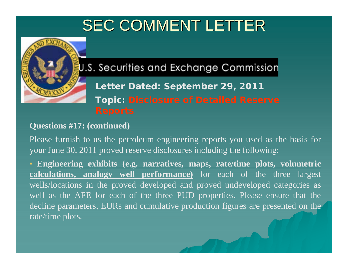

U.S. Securities and Exchange Commission

**Letter Dated: September 29, 2011 Topic: Disclosure of Detailed Reserve** 

### **Questions #17: (continued)**

Please furnish to us the petroleum engineering reports you used as the basis for your June 30, 2011 proved reserve disclosures including the following:

• **Engineering exhibits (e.g. narratives, maps, rate/time plots, volumetric calculations, analogy well performance)** for each of the three largest wells/locations in the proved developed and proved undeveloped categories as well as the AFE for each of the three PUD properties. Please ensure that the decline parameters, EURs and cumulative production figures are presented on the rate/time plots.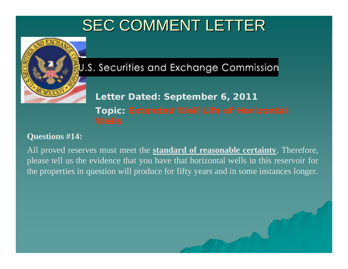

U.S. Securities and Exchange Commission

**Letter Dated: September 6, 2011 Topic: Extended Well Life of Horizontal** 

### **Questions #14:**

All proved reserves must meet the **standard of reasonable certainty**. Therefore, please tell us the evidence that you have that horizontal wells in this reservoir for the properties in question will produce for fifty years and in some instances longer.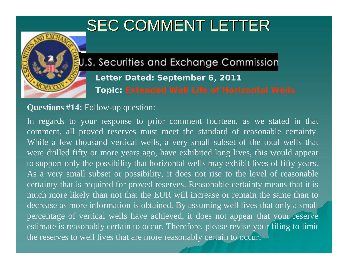

U.S. Securities and Exchange Commission

**Letter Dated: September 6, 2011 Topic: Extended Well Life of Horizontal Wells**

### **Questions #14:** Follow-up question:

In regards to your response to prior comment fourteen, as we stated in that comment, all proved reserves must meet the standard of reasonable certainty. While a few thousand vertical wells, a very small subset of the total wells that were drilled fifty or more years ago, have exhibited long lives, this would appear to support only the possibility that horizontal wells may exhibit lives of fifty years. As a very small subset or possibility, it does not rise to the level of reasonable certainty that is required for proved reserves. Reasonable certainty means that it is much more likely than not that the EUR will increase or remain the same than to decrease as more information is obtained. By assuming well lives that only a small percentage of vertical wells have achieved, it does not appear that your reserve estimate is reasonably certain to occur. Therefore, please revise your filing to limit the reserves to well lives that are more reasonably certain to occur.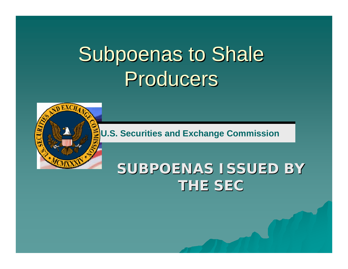# Subpoenas to Shale Producers<sup>1</sup>



**U.S. Securities and Exchange Commission**

## SUBPOENAS ISSUED BY **THE SEC THE SEC**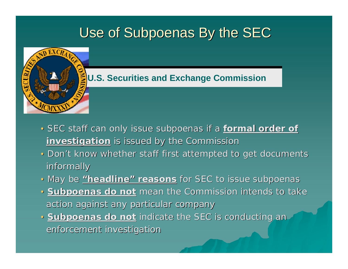## Use of Subpoenas By the SEC



### **U.S. Securities and Exchange Commission**

- SEC staff can only issue subpoenas if a formal order of **investigation** is issued by the Commission
- Don't know whether staff first attempted to get documents informally informally
- May be **"headline headline " reasons** for SEC to issue subpoenas
- **Subpoenas do not** mean the Commission intends to take action against any particular company
- **Subpoenas do not** indicate the SEC is conducting an enforcement investigation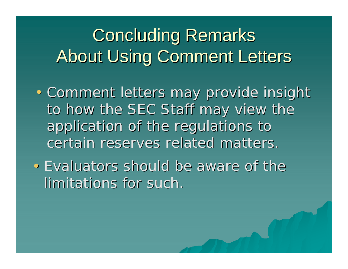# **Concluding Remarks About Using Comment Letters**

- Comment letters may provide insight to how the SEC Staff may view the application of the regulations to certain reserves related matters.
- Evaluators should be aware of the limitations for such.